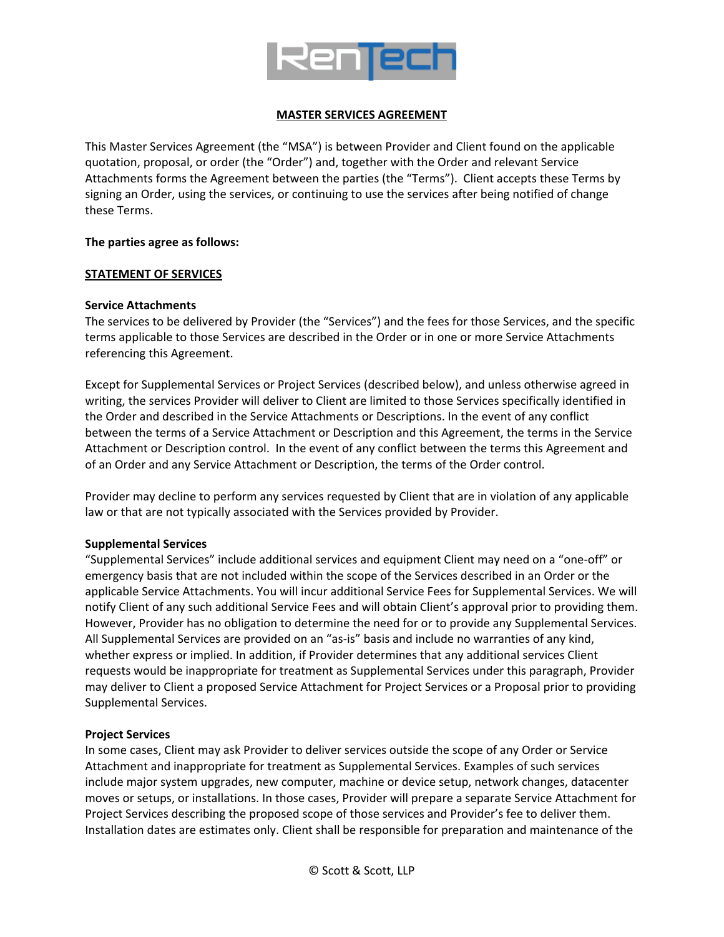

## **MASTER SERVICES AGREEMENT**

This Master Services Agreement (the "MSA") is between Provider and Client found on the applicable quotation, proposal, or order (the "Order") and, together with the Order and relevant Service Attachments forms the Agreement between the parties (the "Terms"). Client accepts these Terms by signing an Order, using the services, or continuing to use the services after being notified of change these Terms.

#### **The parties agree as follows:**

#### **STATEMENT OF SERVICES**

#### **Service Attachments**

The services to be delivered by Provider (the "Services") and the fees for those Services, and the specific terms applicable to those Services are described in the Order or in one or more Service Attachments referencing this Agreement.

Except for Supplemental Services or Project Services (described below), and unless otherwise agreed in writing, the services Provider will deliver to Client are limited to those Services specifically identified in the Order and described in the Service Attachments or Descriptions. In the event of any conflict between the terms of a Service Attachment or Description and this Agreement, the terms in the Service Attachment or Description control. In the event of any conflict between the terms this Agreement and of an Order and any Service Attachment or Description, the terms of the Order control.

Provider may decline to perform any services requested by Client that are in violation of any applicable law or that are not typically associated with the Services provided by Provider.

#### **Supplemental Services**

"Supplemental Services" include additional services and equipment Client may need on a "one-off" or emergency basis that are not included within the scope of the Services described in an Order or the applicable Service Attachments. You will incur additional Service Fees for Supplemental Services. We will notify Client of any such additional Service Fees and will obtain Client's approval prior to providing them. However, Provider has no obligation to determine the need for or to provide any Supplemental Services. All Supplemental Services are provided on an "as-is" basis and include no warranties of any kind, whether express or implied. In addition, if Provider determines that any additional services Client requests would be inappropriate for treatment as Supplemental Services under this paragraph, Provider may deliver to Client a proposed Service Attachment for Project Services or a Proposal prior to providing Supplemental Services.

### **Project Services**

In some cases, Client may ask Provider to deliver services outside the scope of any Order or Service Attachment and inappropriate for treatment as Supplemental Services. Examples of such services include major system upgrades, new computer, machine or device setup, network changes, datacenter moves or setups, or installations. In those cases, Provider will prepare a separate Service Attachment for Project Services describing the proposed scope of those services and Provider's fee to deliver them. Installation dates are estimates only. Client shall be responsible for preparation and maintenance of the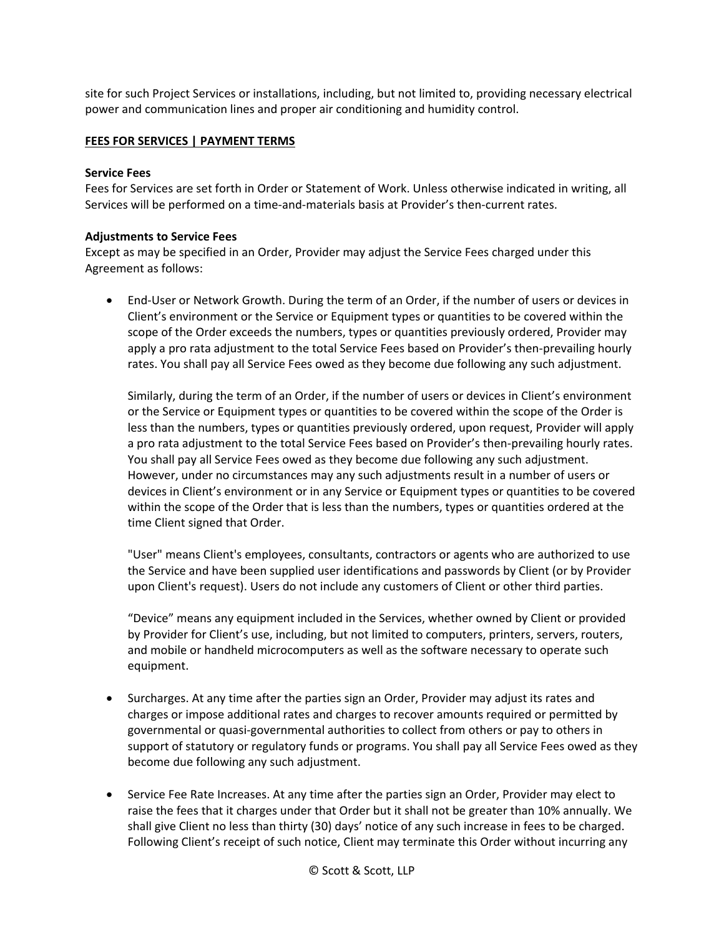site for such Project Services or installations, including, but not limited to, providing necessary electrical power and communication lines and proper air conditioning and humidity control.

# **FEES FOR SERVICES | PAYMENT TERMS**

### **Service Fees**

Fees for Services are set forth in Order or Statement of Work. Unless otherwise indicated in writing, all Services will be performed on a time-and-materials basis at Provider's then-current rates.

## **Adjustments to Service Fees**

Except as may be specified in an Order, Provider may adjust the Service Fees charged under this Agreement as follows:

• End-User or Network Growth. During the term of an Order, if the number of users or devices in Client's environment or the Service or Equipment types or quantities to be covered within the scope of the Order exceeds the numbers, types or quantities previously ordered, Provider may apply a pro rata adjustment to the total Service Fees based on Provider's then-prevailing hourly rates. You shall pay all Service Fees owed as they become due following any such adjustment.

Similarly, during the term of an Order, if the number of users or devices in Client's environment or the Service or Equipment types or quantities to be covered within the scope of the Order is less than the numbers, types or quantities previously ordered, upon request, Provider will apply a pro rata adjustment to the total Service Fees based on Provider's then-prevailing hourly rates. You shall pay all Service Fees owed as they become due following any such adjustment. However, under no circumstances may any such adjustments result in a number of users or devices in Client's environment or in any Service or Equipment types or quantities to be covered within the scope of the Order that is less than the numbers, types or quantities ordered at the time Client signed that Order.

"User" means Client's employees, consultants, contractors or agents who are authorized to use the Service and have been supplied user identifications and passwords by Client (or by Provider upon Client's request). Users do not include any customers of Client or other third parties.

"Device" means any equipment included in the Services, whether owned by Client or provided by Provider for Client's use, including, but not limited to computers, printers, servers, routers, and mobile or handheld microcomputers as well as the software necessary to operate such equipment.

- Surcharges. At any time after the parties sign an Order, Provider may adjust its rates and charges or impose additional rates and charges to recover amounts required or permitted by governmental or quasi-governmental authorities to collect from others or pay to others in support of statutory or regulatory funds or programs. You shall pay all Service Fees owed as they become due following any such adjustment.
- Service Fee Rate Increases. At any time after the parties sign an Order, Provider may elect to raise the fees that it charges under that Order but it shall not be greater than 10% annually. We shall give Client no less than thirty (30) days' notice of any such increase in fees to be charged. Following Client's receipt of such notice, Client may terminate this Order without incurring any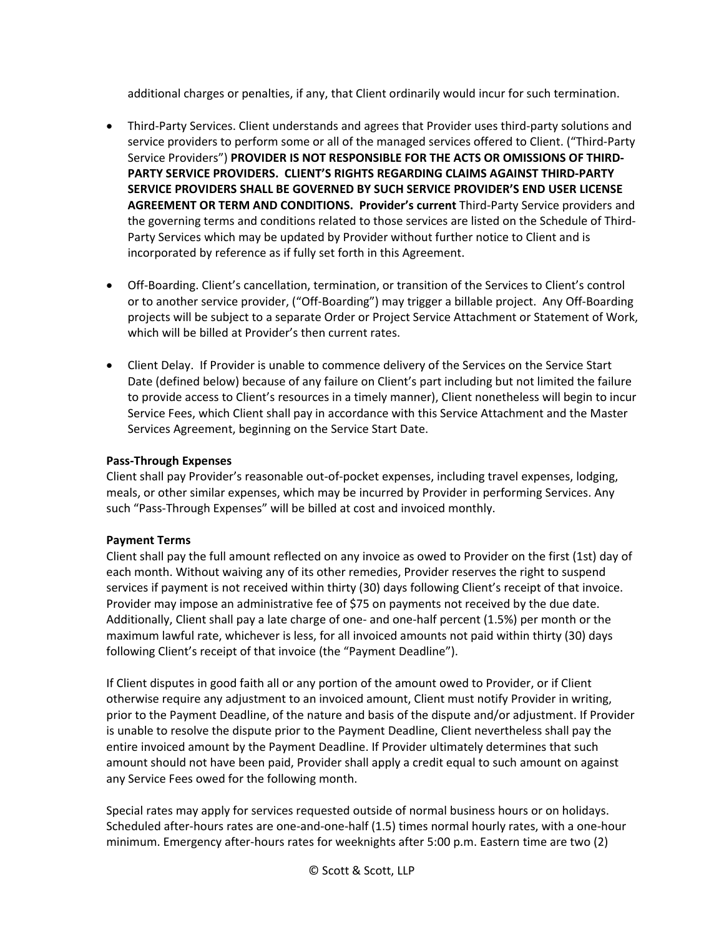additional charges or penalties, if any, that Client ordinarily would incur for such termination.

- Third-Party Services. Client understands and agrees that Provider uses third-party solutions and service providers to perform some or all of the managed services offered to Client. ("Third-Party Service Providers") **PROVIDER IS NOT RESPONSIBLE FOR THE ACTS OR OMISSIONS OF THIRD-PARTY SERVICE PROVIDERS. CLIENT'S RIGHTS REGARDING CLAIMS AGAINST THIRD-PARTY SERVICE PROVIDERS SHALL BE GOVERNED BY SUCH SERVICE PROVIDER'S END USER LICENSE AGREEMENT OR TERM AND CONDITIONS. Provider's current** Third-Party Service providers and the governing terms and conditions related to those services are listed on the Schedule of Third-Party Services which may be updated by Provider without further notice to Client and is incorporated by reference as if fully set forth in this Agreement.
- Off-Boarding. Client's cancellation, termination, or transition of the Services to Client's control or to another service provider, ("Off-Boarding") may trigger a billable project. Any Off-Boarding projects will be subject to a separate Order or Project Service Attachment or Statement of Work, which will be billed at Provider's then current rates.
- Client Delay. If Provider is unable to commence delivery of the Services on the Service Start Date (defined below) because of any failure on Client's part including but not limited the failure to provide access to Client's resources in a timely manner), Client nonetheless will begin to incur Service Fees, which Client shall pay in accordance with this Service Attachment and the Master Services Agreement, beginning on the Service Start Date.

## **Pass-Through Expenses**

Client shall pay Provider's reasonable out-of-pocket expenses, including travel expenses, lodging, meals, or other similar expenses, which may be incurred by Provider in performing Services. Any such "Pass-Through Expenses" will be billed at cost and invoiced monthly.

### **Payment Terms**

Client shall pay the full amount reflected on any invoice as owed to Provider on the first (1st) day of each month. Without waiving any of its other remedies, Provider reserves the right to suspend services if payment is not received within thirty (30) days following Client's receipt of that invoice. Provider may impose an administrative fee of \$75 on payments not received by the due date. Additionally, Client shall pay a late charge of one- and one-half percent (1.5%) per month or the maximum lawful rate, whichever is less, for all invoiced amounts not paid within thirty (30) days following Client's receipt of that invoice (the "Payment Deadline").

If Client disputes in good faith all or any portion of the amount owed to Provider, or if Client otherwise require any adjustment to an invoiced amount, Client must notify Provider in writing, prior to the Payment Deadline, of the nature and basis of the dispute and/or adjustment. If Provider is unable to resolve the dispute prior to the Payment Deadline, Client nevertheless shall pay the entire invoiced amount by the Payment Deadline. If Provider ultimately determines that such amount should not have been paid, Provider shall apply a credit equal to such amount on against any Service Fees owed for the following month.

Special rates may apply for services requested outside of normal business hours or on holidays. Scheduled after-hours rates are one-and-one-half (1.5) times normal hourly rates, with a one-hour minimum. Emergency after-hours rates for weeknights after 5:00 p.m. Eastern time are two (2)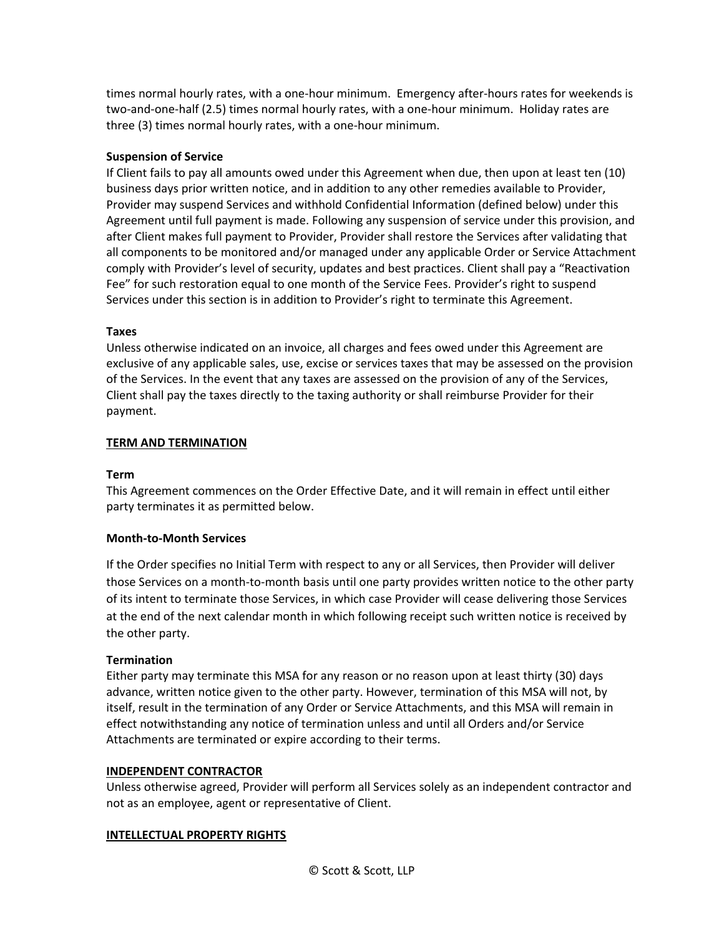times normal hourly rates, with a one-hour minimum. Emergency after-hours rates for weekends is two-and-one-half (2.5) times normal hourly rates, with a one-hour minimum. Holiday rates are three (3) times normal hourly rates, with a one-hour minimum.

## **Suspension of Service**

If Client fails to pay all amounts owed under this Agreement when due, then upon at least ten (10) business days prior written notice, and in addition to any other remedies available to Provider, Provider may suspend Services and withhold Confidential Information (defined below) under this Agreement until full payment is made. Following any suspension of service under this provision, and after Client makes full payment to Provider, Provider shall restore the Services after validating that all components to be monitored and/or managed under any applicable Order or Service Attachment comply with Provider's level of security, updates and best practices. Client shall pay a "Reactivation Fee" for such restoration equal to one month of the Service Fees. Provider's right to suspend Services under this section is in addition to Provider's right to terminate this Agreement.

## **Taxes**

Unless otherwise indicated on an invoice, all charges and fees owed under this Agreement are exclusive of any applicable sales, use, excise or services taxes that may be assessed on the provision of the Services. In the event that any taxes are assessed on the provision of any of the Services, Client shall pay the taxes directly to the taxing authority or shall reimburse Provider for their payment.

## **TERM AND TERMINATION**

### **Term**

This Agreement commences on the Order Effective Date, and it will remain in effect until either party terminates it as permitted below.

### **Month-to-Month Services**

If the Order specifies no Initial Term with respect to any or all Services, then Provider will deliver those Services on a month-to-month basis until one party provides written notice to the other party of its intent to terminate those Services, in which case Provider will cease delivering those Services at the end of the next calendar month in which following receipt such written notice is received by the other party.

# **Termination**

Either party may terminate this MSA for any reason or no reason upon at least thirty (30) days advance, written notice given to the other party. However, termination of this MSA will not, by itself, result in the termination of any Order or Service Attachments, and this MSA will remain in effect notwithstanding any notice of termination unless and until all Orders and/or Service Attachments are terminated or expire according to their terms.

### **INDEPENDENT CONTRACTOR**

Unless otherwise agreed, Provider will perform all Services solely as an independent contractor and not as an employee, agent or representative of Client.

### **INTELLECTUAL PROPERTY RIGHTS**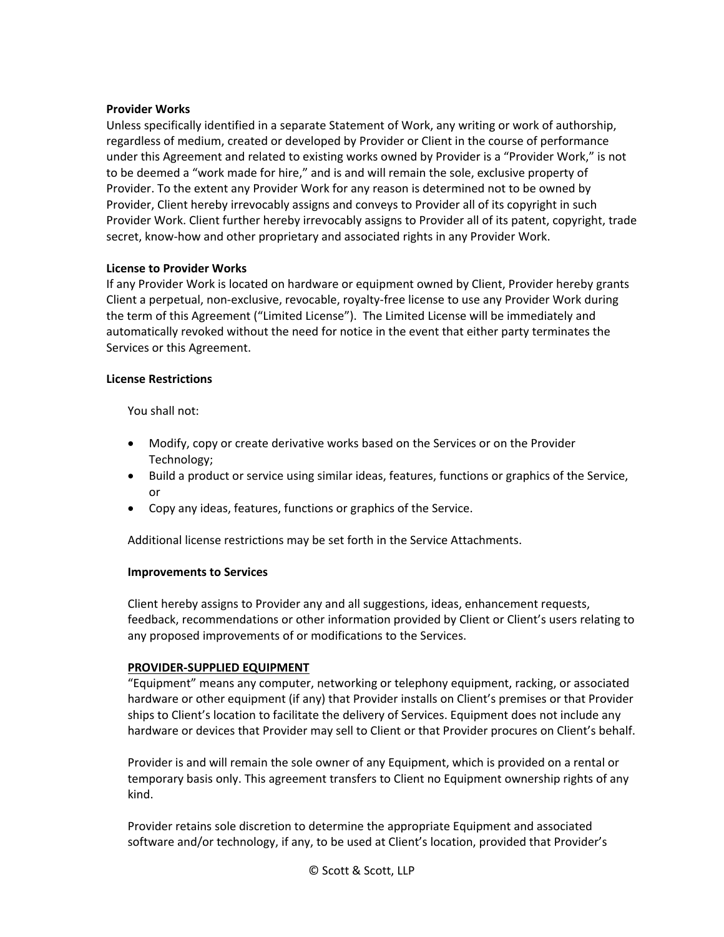### **Provider Works**

Unless specifically identified in a separate Statement of Work, any writing or work of authorship, regardless of medium, created or developed by Provider or Client in the course of performance under this Agreement and related to existing works owned by Provider is a "Provider Work," is not to be deemed a "work made for hire," and is and will remain the sole, exclusive property of Provider. To the extent any Provider Work for any reason is determined not to be owned by Provider, Client hereby irrevocably assigns and conveys to Provider all of its copyright in such Provider Work. Client further hereby irrevocably assigns to Provider all of its patent, copyright, trade secret, know-how and other proprietary and associated rights in any Provider Work.

#### **License to Provider Works**

If any Provider Work is located on hardware or equipment owned by Client, Provider hereby grants Client a perpetual, non-exclusive, revocable, royalty-free license to use any Provider Work during the term of this Agreement ("Limited License"). The Limited License will be immediately and automatically revoked without the need for notice in the event that either party terminates the Services or this Agreement.

#### **License Restrictions**

You shall not:

- Modify, copy or create derivative works based on the Services or on the Provider Technology;
- Build a product or service using similar ideas, features, functions or graphics of the Service, or
- Copy any ideas, features, functions or graphics of the Service.

Additional license restrictions may be set forth in the Service Attachments.

#### **Improvements to Services**

Client hereby assigns to Provider any and all suggestions, ideas, enhancement requests, feedback, recommendations or other information provided by Client or Client's users relating to any proposed improvements of or modifications to the Services.

### **PROVIDER-SUPPLIED EQUIPMENT**

"Equipment" means any computer, networking or telephony equipment, racking, or associated hardware or other equipment (if any) that Provider installs on Client's premises or that Provider ships to Client's location to facilitate the delivery of Services. Equipment does not include any hardware or devices that Provider may sell to Client or that Provider procures on Client's behalf.

Provider is and will remain the sole owner of any Equipment, which is provided on a rental or temporary basis only. This agreement transfers to Client no Equipment ownership rights of any kind.

Provider retains sole discretion to determine the appropriate Equipment and associated software and/or technology, if any, to be used at Client's location, provided that Provider's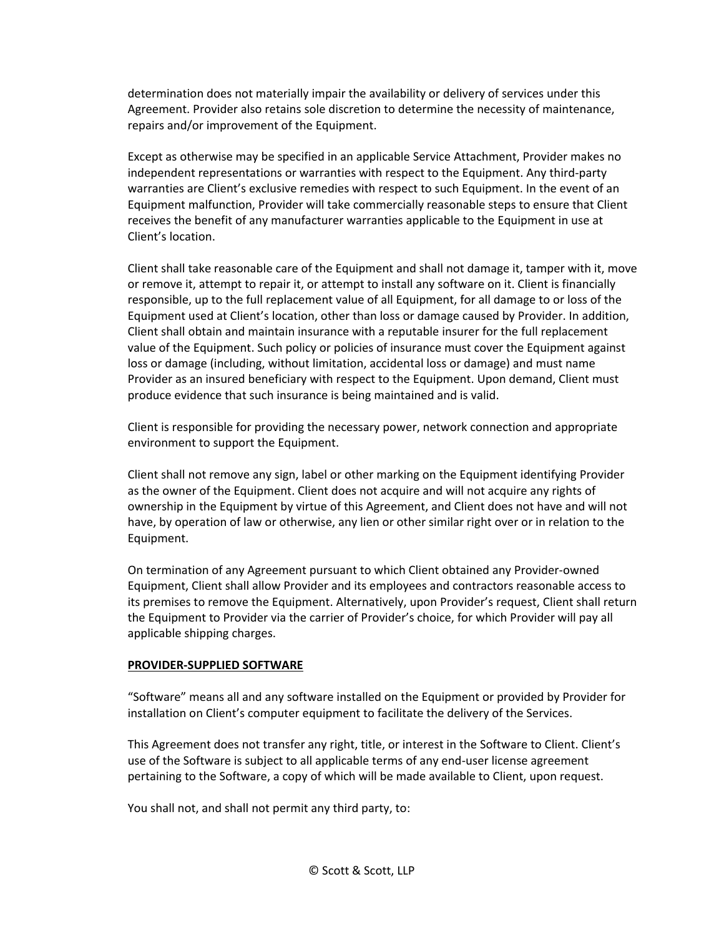determination does not materially impair the availability or delivery of services under this Agreement. Provider also retains sole discretion to determine the necessity of maintenance, repairs and/or improvement of the Equipment.

Except as otherwise may be specified in an applicable Service Attachment, Provider makes no independent representations or warranties with respect to the Equipment. Any third-party warranties are Client's exclusive remedies with respect to such Equipment. In the event of an Equipment malfunction, Provider will take commercially reasonable steps to ensure that Client receives the benefit of any manufacturer warranties applicable to the Equipment in use at Client's location.

Client shall take reasonable care of the Equipment and shall not damage it, tamper with it, move or remove it, attempt to repair it, or attempt to install any software on it. Client is financially responsible, up to the full replacement value of all Equipment, for all damage to or loss of the Equipment used at Client's location, other than loss or damage caused by Provider. In addition, Client shall obtain and maintain insurance with a reputable insurer for the full replacement value of the Equipment. Such policy or policies of insurance must cover the Equipment against loss or damage (including, without limitation, accidental loss or damage) and must name Provider as an insured beneficiary with respect to the Equipment. Upon demand, Client must produce evidence that such insurance is being maintained and is valid.

Client is responsible for providing the necessary power, network connection and appropriate environment to support the Equipment.

Client shall not remove any sign, label or other marking on the Equipment identifying Provider as the owner of the Equipment. Client does not acquire and will not acquire any rights of ownership in the Equipment by virtue of this Agreement, and Client does not have and will not have, by operation of law or otherwise, any lien or other similar right over or in relation to the Equipment.

On termination of any Agreement pursuant to which Client obtained any Provider-owned Equipment, Client shall allow Provider and its employees and contractors reasonable access to its premises to remove the Equipment. Alternatively, upon Provider's request, Client shall return the Equipment to Provider via the carrier of Provider's choice, for which Provider will pay all applicable shipping charges.

### **PROVIDER-SUPPLIED SOFTWARE**

"Software" means all and any software installed on the Equipment or provided by Provider for installation on Client's computer equipment to facilitate the delivery of the Services.

This Agreement does not transfer any right, title, or interest in the Software to Client. Client's use of the Software is subject to all applicable terms of any end-user license agreement pertaining to the Software, a copy of which will be made available to Client, upon request.

You shall not, and shall not permit any third party, to: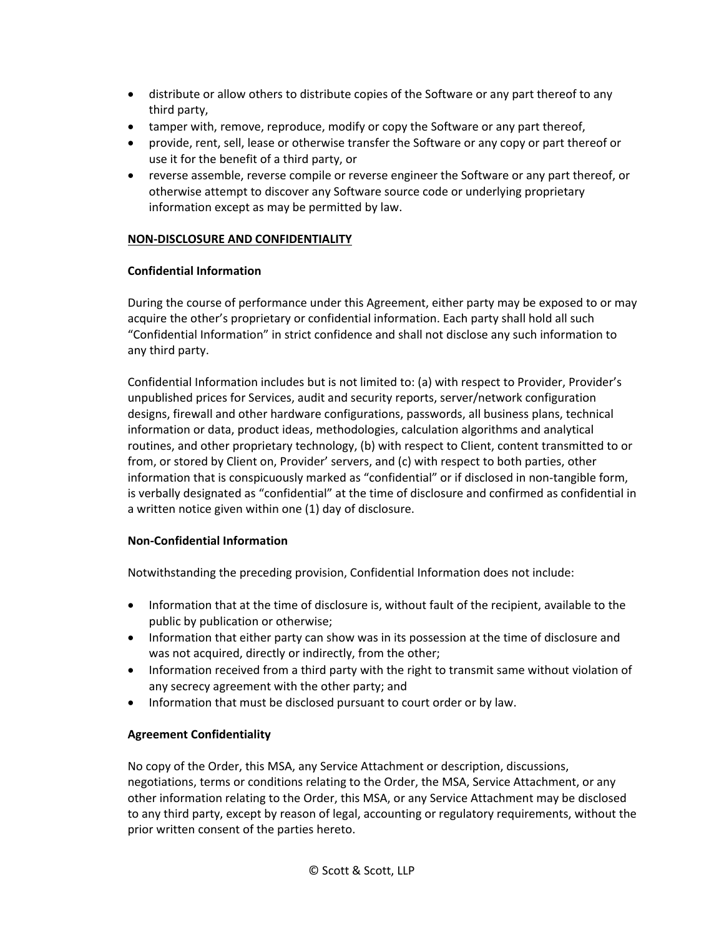- distribute or allow others to distribute copies of the Software or any part thereof to any third party,
- tamper with, remove, reproduce, modify or copy the Software or any part thereof,
- provide, rent, sell, lease or otherwise transfer the Software or any copy or part thereof or use it for the benefit of a third party, or
- reverse assemble, reverse compile or reverse engineer the Software or any part thereof, or otherwise attempt to discover any Software source code or underlying proprietary information except as may be permitted by law.

# **NON-DISCLOSURE AND CONFIDENTIALITY**

## **Confidential Information**

During the course of performance under this Agreement, either party may be exposed to or may acquire the other's proprietary or confidential information. Each party shall hold all such "Confidential Information" in strict confidence and shall not disclose any such information to any third party.

Confidential Information includes but is not limited to: (a) with respect to Provider, Provider's unpublished prices for Services, audit and security reports, server/network configuration designs, firewall and other hardware configurations, passwords, all business plans, technical information or data, product ideas, methodologies, calculation algorithms and analytical routines, and other proprietary technology, (b) with respect to Client, content transmitted to or from, or stored by Client on, Provider' servers, and (c) with respect to both parties, other information that is conspicuously marked as "confidential" or if disclosed in non-tangible form, is verbally designated as "confidential" at the time of disclosure and confirmed as confidential in a written notice given within one (1) day of disclosure.

# **Non-Confidential Information**

Notwithstanding the preceding provision, Confidential Information does not include:

- Information that at the time of disclosure is, without fault of the recipient, available to the public by publication or otherwise;
- Information that either party can show was in its possession at the time of disclosure and was not acquired, directly or indirectly, from the other;
- Information received from a third party with the right to transmit same without violation of any secrecy agreement with the other party; and
- Information that must be disclosed pursuant to court order or by law.

### **Agreement Confidentiality**

No copy of the Order, this MSA, any Service Attachment or description, discussions, negotiations, terms or conditions relating to the Order, the MSA, Service Attachment, or any other information relating to the Order, this MSA, or any Service Attachment may be disclosed to any third party, except by reason of legal, accounting or regulatory requirements, without the prior written consent of the parties hereto.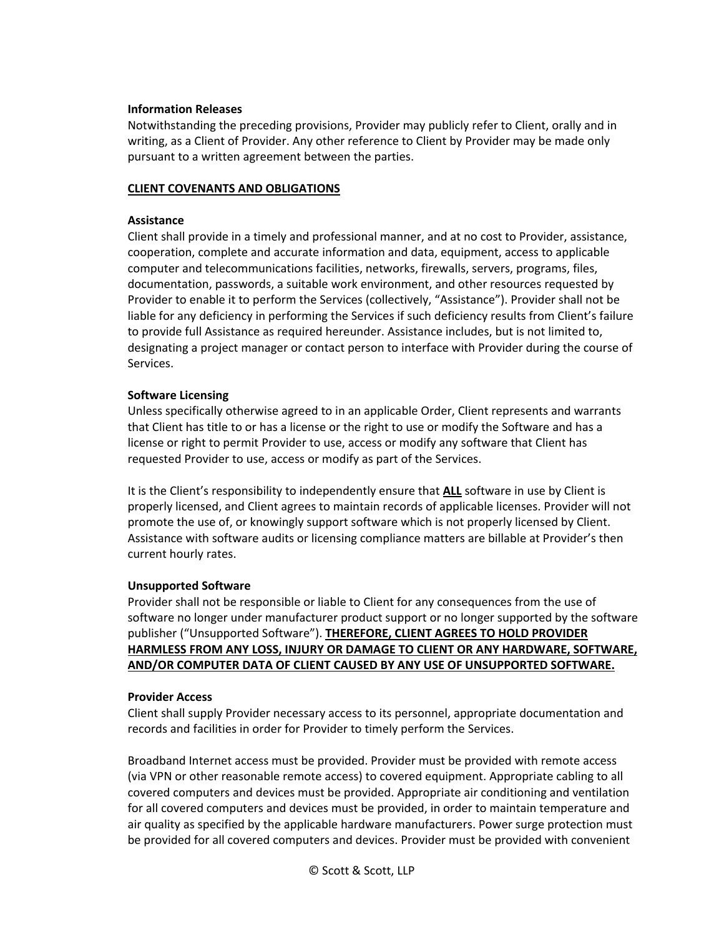#### **Information Releases**

Notwithstanding the preceding provisions, Provider may publicly refer to Client, orally and in writing, as a Client of Provider. Any other reference to Client by Provider may be made only pursuant to a written agreement between the parties.

#### **CLIENT COVENANTS AND OBLIGATIONS**

#### **Assistance**

Client shall provide in a timely and professional manner, and at no cost to Provider, assistance, cooperation, complete and accurate information and data, equipment, access to applicable computer and telecommunications facilities, networks, firewalls, servers, programs, files, documentation, passwords, a suitable work environment, and other resources requested by Provider to enable it to perform the Services (collectively, "Assistance"). Provider shall not be liable for any deficiency in performing the Services if such deficiency results from Client's failure to provide full Assistance as required hereunder. Assistance includes, but is not limited to, designating a project manager or contact person to interface with Provider during the course of Services.

#### **Software Licensing**

Unless specifically otherwise agreed to in an applicable Order, Client represents and warrants that Client has title to or has a license or the right to use or modify the Software and has a license or right to permit Provider to use, access or modify any software that Client has requested Provider to use, access or modify as part of the Services.

It is the Client's responsibility to independently ensure that **ALL** software in use by Client is properly licensed, and Client agrees to maintain records of applicable licenses. Provider will not promote the use of, or knowingly support software which is not properly licensed by Client. Assistance with software audits or licensing compliance matters are billable at Provider's then current hourly rates.

### **Unsupported Software**

Provider shall not be responsible or liable to Client for any consequences from the use of software no longer under manufacturer product support or no longer supported by the software publisher ("Unsupported Software"). **THEREFORE, CLIENT AGREES TO HOLD PROVIDER HARMLESS FROM ANY LOSS, INJURY OR DAMAGE TO CLIENT OR ANY HARDWARE, SOFTWARE, AND/OR COMPUTER DATA OF CLIENT CAUSED BY ANY USE OF UNSUPPORTED SOFTWARE.**

#### **Provider Access**

Client shall supply Provider necessary access to its personnel, appropriate documentation and records and facilities in order for Provider to timely perform the Services.

Broadband Internet access must be provided. Provider must be provided with remote access (via VPN or other reasonable remote access) to covered equipment. Appropriate cabling to all covered computers and devices must be provided. Appropriate air conditioning and ventilation for all covered computers and devices must be provided, in order to maintain temperature and air quality as specified by the applicable hardware manufacturers. Power surge protection must be provided for all covered computers and devices. Provider must be provided with convenient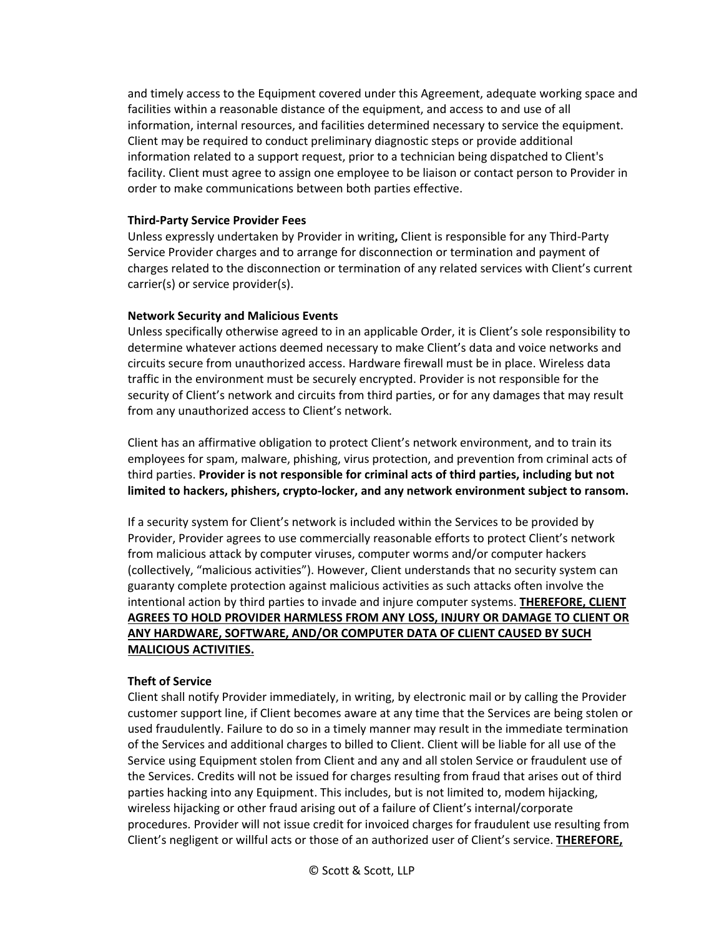and timely access to the Equipment covered under this Agreement, adequate working space and facilities within a reasonable distance of the equipment, and access to and use of all information, internal resources, and facilities determined necessary to service the equipment. Client may be required to conduct preliminary diagnostic steps or provide additional information related to a support request, prior to a technician being dispatched to Client's facility. Client must agree to assign one employee to be liaison or contact person to Provider in order to make communications between both parties effective.

#### **Third-Party Service Provider Fees**

Unless expressly undertaken by Provider in writing**,** Client is responsible for any Third-Party Service Provider charges and to arrange for disconnection or termination and payment of charges related to the disconnection or termination of any related services with Client's current carrier(s) or service provider(s).

### **Network Security and Malicious Events**

Unless specifically otherwise agreed to in an applicable Order, it is Client's sole responsibility to determine whatever actions deemed necessary to make Client's data and voice networks and circuits secure from unauthorized access. Hardware firewall must be in place. Wireless data traffic in the environment must be securely encrypted. Provider is not responsible for the security of Client's network and circuits from third parties, or for any damages that may result from any unauthorized access to Client's network.

Client has an affirmative obligation to protect Client's network environment, and to train its employees for spam, malware, phishing, virus protection, and prevention from criminal acts of third parties. **Provider is not responsible for criminal acts of third parties, including but not limited to hackers, phishers, crypto-locker, and any network environment subject to ransom.** 

If a security system for Client's network is included within the Services to be provided by Provider, Provider agrees to use commercially reasonable efforts to protect Client's network from malicious attack by computer viruses, computer worms and/or computer hackers (collectively, "malicious activities"). However, Client understands that no security system can guaranty complete protection against malicious activities as such attacks often involve the intentional action by third parties to invade and injure computer systems. **THEREFORE, CLIENT AGREES TO HOLD PROVIDER HARMLESS FROM ANY LOSS, INJURY OR DAMAGE TO CLIENT OR ANY HARDWARE, SOFTWARE, AND/OR COMPUTER DATA OF CLIENT CAUSED BY SUCH MALICIOUS ACTIVITIES.** 

### **Theft of Service**

Client shall notify Provider immediately, in writing, by electronic mail or by calling the Provider customer support line, if Client becomes aware at any time that the Services are being stolen or used fraudulently. Failure to do so in a timely manner may result in the immediate termination of the Services and additional charges to billed to Client. Client will be liable for all use of the Service using Equipment stolen from Client and any and all stolen Service or fraudulent use of the Services. Credits will not be issued for charges resulting from fraud that arises out of third parties hacking into any Equipment. This includes, but is not limited to, modem hijacking, wireless hijacking or other fraud arising out of a failure of Client's internal/corporate procedures. Provider will not issue credit for invoiced charges for fraudulent use resulting from Client's negligent or willful acts or those of an authorized user of Client's service. **THEREFORE,**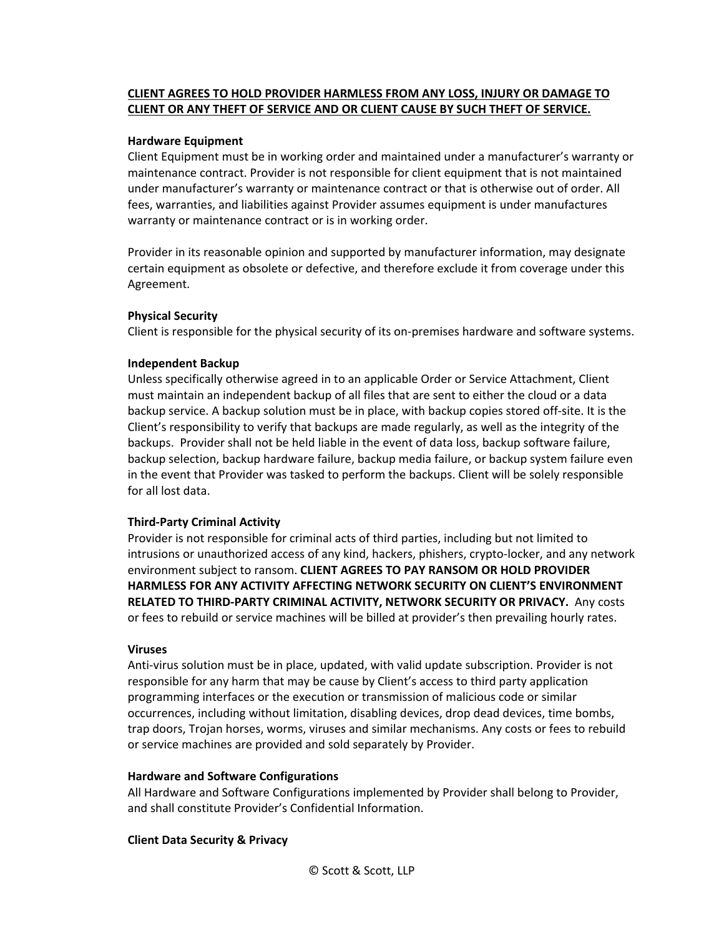# **CLIENT AGREES TO HOLD PROVIDER HARMLESS FROM ANY LOSS, INJURY OR DAMAGE TO CLIENT OR ANY THEFT OF SERVICE AND OR CLIENT CAUSE BY SUCH THEFT OF SERVICE.**

#### **Hardware Equipment**

Client Equipment must be in working order and maintained under a manufacturer's warranty or maintenance contract. Provider is not responsible for client equipment that is not maintained under manufacturer's warranty or maintenance contract or that is otherwise out of order. All fees, warranties, and liabilities against Provider assumes equipment is under manufactures warranty or maintenance contract or is in working order.

Provider in its reasonable opinion and supported by manufacturer information, may designate certain equipment as obsolete or defective, and therefore exclude it from coverage under this Agreement.

### **Physical Security**

Client is responsible for the physical security of its on-premises hardware and software systems.

### **Independent Backup**

Unless specifically otherwise agreed in to an applicable Order or Service Attachment, Client must maintain an independent backup of all files that are sent to either the cloud or a data backup service. A backup solution must be in place, with backup copies stored off-site. It is the Client's responsibility to verify that backups are made regularly, as well as the integrity of the backups. Provider shall not be held liable in the event of data loss, backup software failure, backup selection, backup hardware failure, backup media failure, or backup system failure even in the event that Provider was tasked to perform the backups. Client will be solely responsible for all lost data.

# **Third-Party Criminal Activity**

Provider is not responsible for criminal acts of third parties, including but not limited to intrusions or unauthorized access of any kind, hackers, phishers, crypto-locker, and any network environment subject to ransom. **CLIENT AGREES TO PAY RANSOM OR HOLD PROVIDER HARMLESS FOR ANY ACTIVITY AFFECTING NETWORK SECURITY ON CLIENT'S ENVIRONMENT RELATED TO THIRD-PARTY CRIMINAL ACTIVITY, NETWORK SECURITY OR PRIVACY.** Any costs or fees to rebuild or service machines will be billed at provider's then prevailing hourly rates.

### **Viruses**

Anti-virus solution must be in place, updated, with valid update subscription. Provider is not responsible for any harm that may be cause by Client's access to third party application programming interfaces or the execution or transmission of malicious code or similar occurrences, including without limitation, disabling devices, drop dead devices, time bombs, trap doors, Trojan horses, worms, viruses and similar mechanisms. Any costs or fees to rebuild or service machines are provided and sold separately by Provider.

### **Hardware and Software Configurations**

All Hardware and Software Configurations implemented by Provider shall belong to Provider, and shall constitute Provider's Confidential Information.

### **Client Data Security & Privacy**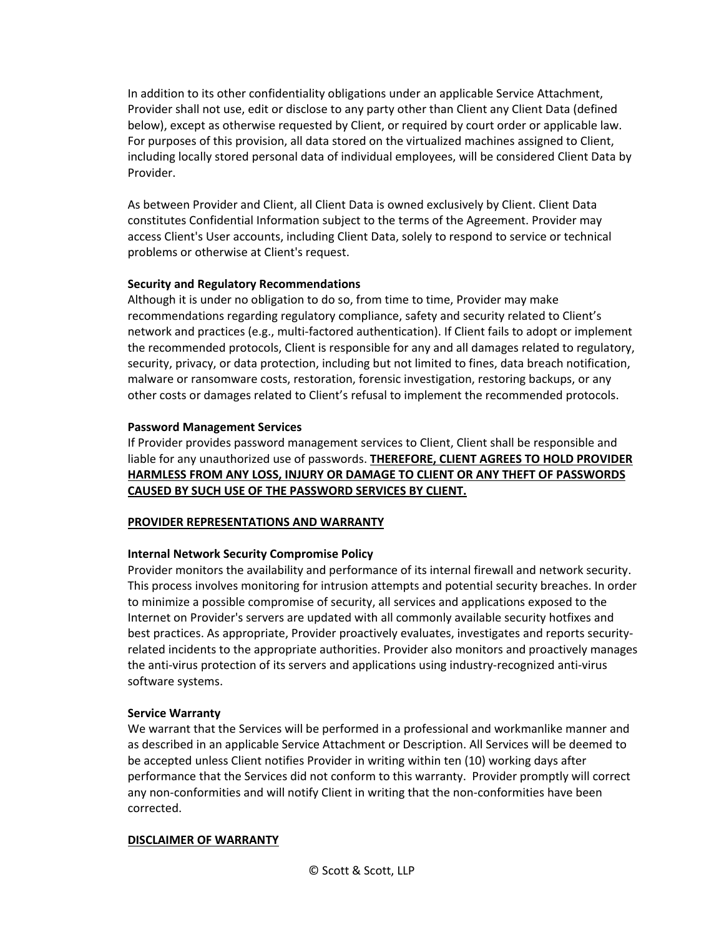In addition to its other confidentiality obligations under an applicable Service Attachment, Provider shall not use, edit or disclose to any party other than Client any Client Data (defined below), except as otherwise requested by Client, or required by court order or applicable law. For purposes of this provision, all data stored on the virtualized machines assigned to Client, including locally stored personal data of individual employees, will be considered Client Data by Provider.

As between Provider and Client, all Client Data is owned exclusively by Client. Client Data constitutes Confidential Information subject to the terms of the Agreement. Provider may access Client's User accounts, including Client Data, solely to respond to service or technical problems or otherwise at Client's request.

## **Security and Regulatory Recommendations**

Although it is under no obligation to do so, from time to time, Provider may make recommendations regarding regulatory compliance, safety and security related to Client's network and practices (e.g., multi-factored authentication). If Client fails to adopt or implement the recommended protocols, Client is responsible for any and all damages related to regulatory, security, privacy, or data protection, including but not limited to fines, data breach notification, malware or ransomware costs, restoration, forensic investigation, restoring backups, or any other costs or damages related to Client's refusal to implement the recommended protocols.

## **Password Management Services**

If Provider provides password management services to Client, Client shall be responsible and liable for any unauthorized use of passwords. **THEREFORE, CLIENT AGREES TO HOLD PROVIDER HARMLESS FROM ANY LOSS, INJURY OR DAMAGE TO CLIENT OR ANY THEFT OF PASSWORDS CAUSED BY SUCH USE OF THE PASSWORD SERVICES BY CLIENT.**

### **PROVIDER REPRESENTATIONS AND WARRANTY**

# **Internal Network Security Compromise Policy**

Provider monitors the availability and performance of its internal firewall and network security. This process involves monitoring for intrusion attempts and potential security breaches. In order to minimize a possible compromise of security, all services and applications exposed to the Internet on Provider's servers are updated with all commonly available security hotfixes and best practices. As appropriate, Provider proactively evaluates, investigates and reports securityrelated incidents to the appropriate authorities. Provider also monitors and proactively manages the anti-virus protection of its servers and applications using industry-recognized anti-virus software systems.

### **Service Warranty**

We warrant that the Services will be performed in a professional and workmanlike manner and as described in an applicable Service Attachment or Description. All Services will be deemed to be accepted unless Client notifies Provider in writing within ten (10) working days after performance that the Services did not conform to this warranty. Provider promptly will correct any non-conformities and will notify Client in writing that the non-conformities have been corrected.

### **DISCLAIMER OF WARRANTY**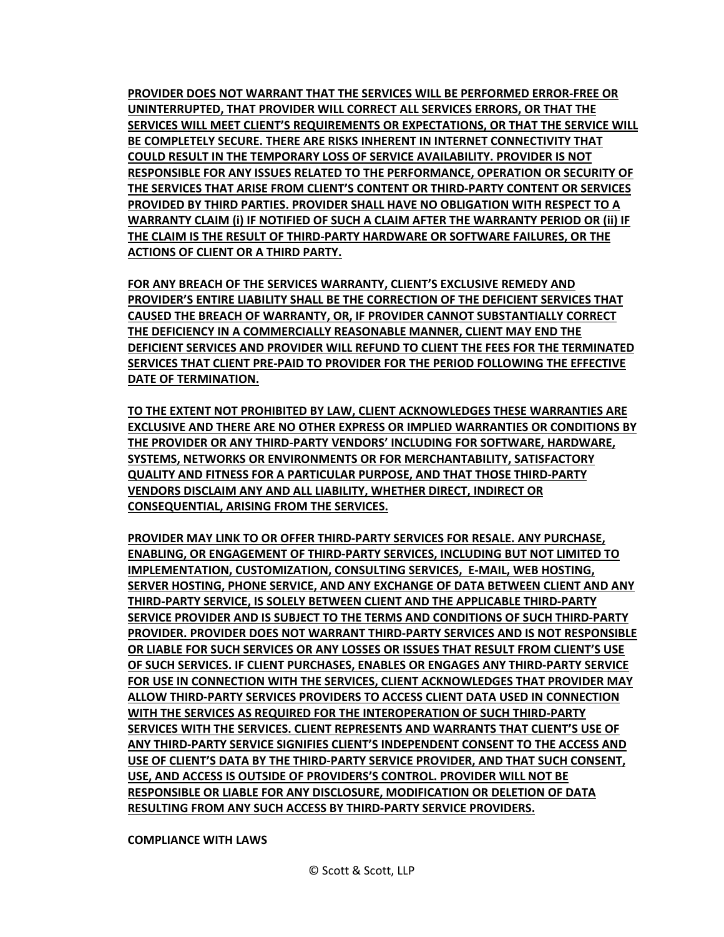**PROVIDER DOES NOT WARRANT THAT THE SERVICES WILL BE PERFORMED ERROR-FREE OR UNINTERRUPTED, THAT PROVIDER WILL CORRECT ALL SERVICES ERRORS, OR THAT THE SERVICES WILL MEET CLIENT'S REQUIREMENTS OR EXPECTATIONS, OR THAT THE SERVICE WILL BE COMPLETELY SECURE. THERE ARE RISKS INHERENT IN INTERNET CONNECTIVITY THAT COULD RESULT IN THE TEMPORARY LOSS OF SERVICE AVAILABILITY. PROVIDER IS NOT RESPONSIBLE FOR ANY ISSUES RELATED TO THE PERFORMANCE, OPERATION OR SECURITY OF THE SERVICES THAT ARISE FROM CLIENT'S CONTENT OR THIRD-PARTY CONTENT OR SERVICES PROVIDED BY THIRD PARTIES. PROVIDER SHALL HAVE NO OBLIGATION WITH RESPECT TO A WARRANTY CLAIM (i) IF NOTIFIED OF SUCH A CLAIM AFTER THE WARRANTY PERIOD OR (ii) IF THE CLAIM IS THE RESULT OF THIRD-PARTY HARDWARE OR SOFTWARE FAILURES, OR THE ACTIONS OF CLIENT OR A THIRD PARTY.**

**FOR ANY BREACH OF THE SERVICES WARRANTY, CLIENT'S EXCLUSIVE REMEDY AND PROVIDER'S ENTIRE LIABILITY SHALL BE THE CORRECTION OF THE DEFICIENT SERVICES THAT CAUSED THE BREACH OF WARRANTY, OR, IF PROVIDER CANNOT SUBSTANTIALLY CORRECT THE DEFICIENCY IN A COMMERCIALLY REASONABLE MANNER, CLIENT MAY END THE DEFICIENT SERVICES AND PROVIDER WILL REFUND TO CLIENT THE FEES FOR THE TERMINATED SERVICES THAT CLIENT PRE-PAID TO PROVIDER FOR THE PERIOD FOLLOWING THE EFFECTIVE DATE OF TERMINATION.** 

**TO THE EXTENT NOT PROHIBITED BY LAW, CLIENT ACKNOWLEDGES THESE WARRANTIES ARE EXCLUSIVE AND THERE ARE NO OTHER EXPRESS OR IMPLIED WARRANTIES OR CONDITIONS BY THE PROVIDER OR ANY THIRD-PARTY VENDORS' INCLUDING FOR SOFTWARE, HARDWARE, SYSTEMS, NETWORKS OR ENVIRONMENTS OR FOR MERCHANTABILITY, SATISFACTORY QUALITY AND FITNESS FOR A PARTICULAR PURPOSE, AND THAT THOSE THIRD-PARTY VENDORS DISCLAIM ANY AND ALL LIABILITY, WHETHER DIRECT, INDIRECT OR CONSEQUENTIAL, ARISING FROM THE SERVICES.** 

**PROVIDER MAY LINK TO OR OFFER THIRD-PARTY SERVICES FOR RESALE. ANY PURCHASE, ENABLING, OR ENGAGEMENT OF THIRD-PARTY SERVICES, INCLUDING BUT NOT LIMITED TO IMPLEMENTATION, CUSTOMIZATION, CONSULTING SERVICES, E-MAIL, WEB HOSTING, SERVER HOSTING, PHONE SERVICE, AND ANY EXCHANGE OF DATA BETWEEN CLIENT AND ANY THIRD-PARTY SERVICE, IS SOLELY BETWEEN CLIENT AND THE APPLICABLE THIRD-PARTY SERVICE PROVIDER AND IS SUBJECT TO THE TERMS AND CONDITIONS OF SUCH THIRD-PARTY PROVIDER. PROVIDER DOES NOT WARRANT THIRD-PARTY SERVICES AND IS NOT RESPONSIBLE OR LIABLE FOR SUCH SERVICES OR ANY LOSSES OR ISSUES THAT RESULT FROM CLIENT'S USE OF SUCH SERVICES. IF CLIENT PURCHASES, ENABLES OR ENGAGES ANY THIRD-PARTY SERVICE FOR USE IN CONNECTION WITH THE SERVICES, CLIENT ACKNOWLEDGES THAT PROVIDER MAY ALLOW THIRD-PARTY SERVICES PROVIDERS TO ACCESS CLIENT DATA USED IN CONNECTION WITH THE SERVICES AS REQUIRED FOR THE INTEROPERATION OF SUCH THIRD-PARTY SERVICES WITH THE SERVICES. CLIENT REPRESENTS AND WARRANTS THAT CLIENT'S USE OF ANY THIRD-PARTY SERVICE SIGNIFIES CLIENT'S INDEPENDENT CONSENT TO THE ACCESS AND USE OF CLIENT'S DATA BY THE THIRD-PARTY SERVICE PROVIDER, AND THAT SUCH CONSENT, USE, AND ACCESS IS OUTSIDE OF PROVIDERS'S CONTROL. PROVIDER WILL NOT BE RESPONSIBLE OR LIABLE FOR ANY DISCLOSURE, MODIFICATION OR DELETION OF DATA RESULTING FROM ANY SUCH ACCESS BY THIRD-PARTY SERVICE PROVIDERS.**

#### **COMPLIANCE WITH LAWS**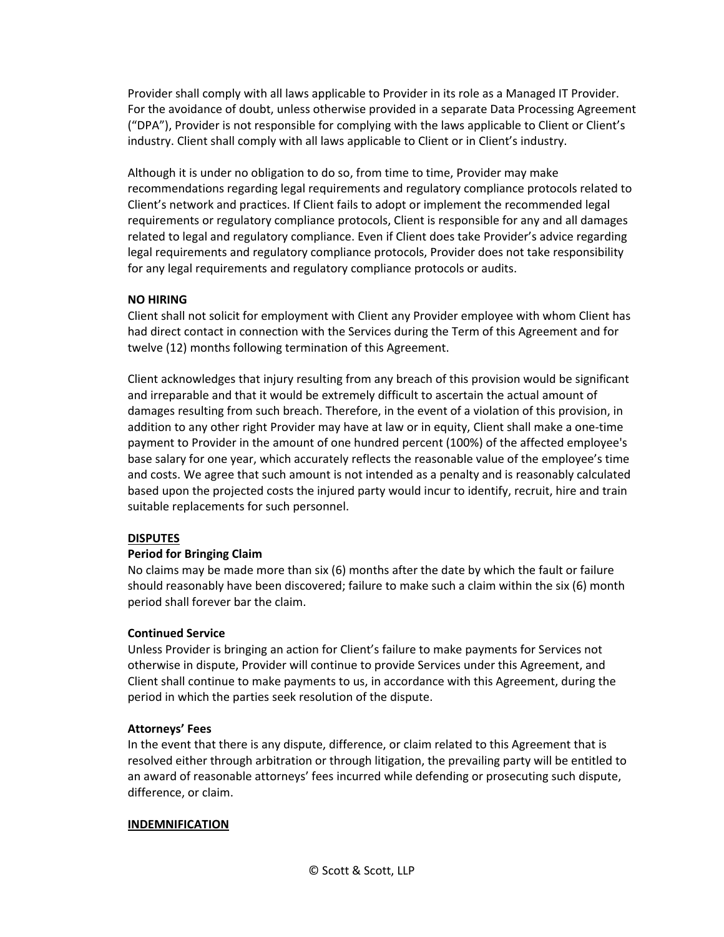Provider shall comply with all laws applicable to Provider in its role as a Managed IT Provider. For the avoidance of doubt, unless otherwise provided in a separate Data Processing Agreement ("DPA"), Provider is not responsible for complying with the laws applicable to Client or Client's industry. Client shall comply with all laws applicable to Client or in Client's industry.

Although it is under no obligation to do so, from time to time, Provider may make recommendations regarding legal requirements and regulatory compliance protocols related to Client's network and practices. If Client fails to adopt or implement the recommended legal requirements or regulatory compliance protocols, Client is responsible for any and all damages related to legal and regulatory compliance. Even if Client does take Provider's advice regarding legal requirements and regulatory compliance protocols, Provider does not take responsibility for any legal requirements and regulatory compliance protocols or audits.

## **NO HIRING**

Client shall not solicit for employment with Client any Provider employee with whom Client has had direct contact in connection with the Services during the Term of this Agreement and for twelve (12) months following termination of this Agreement.

Client acknowledges that injury resulting from any breach of this provision would be significant and irreparable and that it would be extremely difficult to ascertain the actual amount of damages resulting from such breach. Therefore, in the event of a violation of this provision, in addition to any other right Provider may have at law or in equity, Client shall make a one-time payment to Provider in the amount of one hundred percent (100%) of the affected employee's base salary for one year, which accurately reflects the reasonable value of the employee's time and costs. We agree that such amount is not intended as a penalty and is reasonably calculated based upon the projected costs the injured party would incur to identify, recruit, hire and train suitable replacements for such personnel.

### **DISPUTES**

# **Period for Bringing Claim**

No claims may be made more than six (6) months after the date by which the fault or failure should reasonably have been discovered; failure to make such a claim within the six (6) month period shall forever bar the claim.

### **Continued Service**

Unless Provider is bringing an action for Client's failure to make payments for Services not otherwise in dispute, Provider will continue to provide Services under this Agreement, and Client shall continue to make payments to us, in accordance with this Agreement, during the period in which the parties seek resolution of the dispute.

### **Attorneys' Fees**

In the event that there is any dispute, difference, or claim related to this Agreement that is resolved either through arbitration or through litigation, the prevailing party will be entitled to an award of reasonable attorneys' fees incurred while defending or prosecuting such dispute, difference, or claim.

### **INDEMNIFICATION**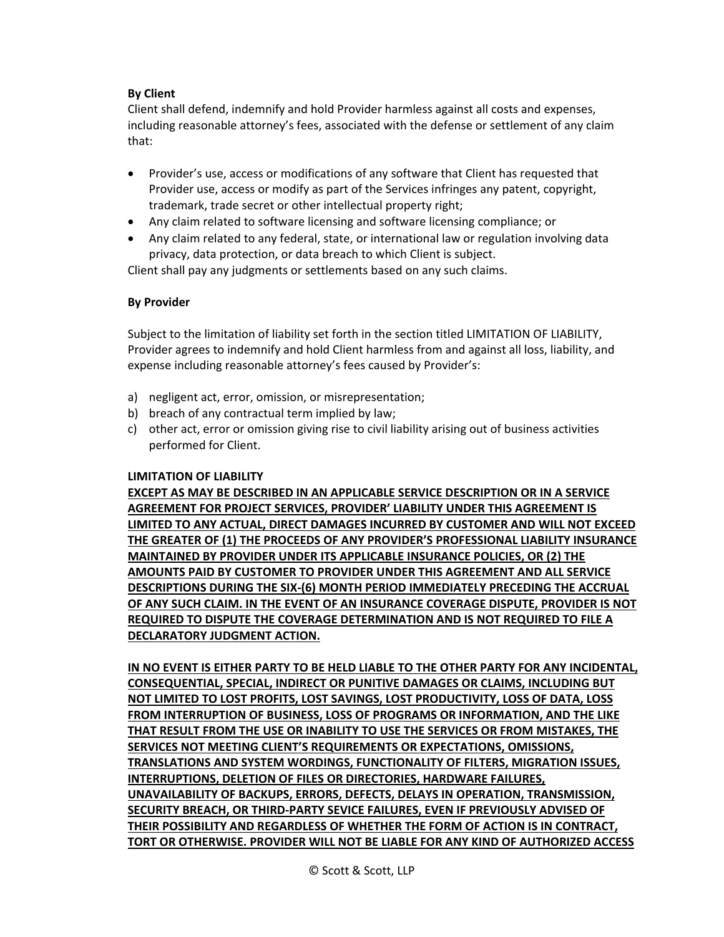# **By Client**

Client shall defend, indemnify and hold Provider harmless against all costs and expenses, including reasonable attorney's fees, associated with the defense or settlement of any claim that:

- Provider's use, access or modifications of any software that Client has requested that Provider use, access or modify as part of the Services infringes any patent, copyright, trademark, trade secret or other intellectual property right;
- Any claim related to software licensing and software licensing compliance; or
- Any claim related to any federal, state, or international law or regulation involving data privacy, data protection, or data breach to which Client is subject.

Client shall pay any judgments or settlements based on any such claims.

## **By Provider**

Subject to the limitation of liability set forth in the section titled LIMITATION OF LIABILITY, Provider agrees to indemnify and hold Client harmless from and against all loss, liability, and expense including reasonable attorney's fees caused by Provider's:

- a) negligent act, error, omission, or misrepresentation;
- b) breach of any contractual term implied by law;
- c) other act, error or omission giving rise to civil liability arising out of business activities performed for Client.

### **LIMITATION OF LIABILITY**

**EXCEPT AS MAY BE DESCRIBED IN AN APPLICABLE SERVICE DESCRIPTION OR IN A SERVICE AGREEMENT FOR PROJECT SERVICES, PROVIDER' LIABILITY UNDER THIS AGREEMENT IS LIMITED TO ANY ACTUAL, DIRECT DAMAGES INCURRED BY CUSTOMER AND WILL NOT EXCEED THE GREATER OF (1) THE PROCEEDS OF ANY PROVIDER'S PROFESSIONAL LIABILITY INSURANCE MAINTAINED BY PROVIDER UNDER ITS APPLICABLE INSURANCE POLICIES, OR (2) THE AMOUNTS PAID BY CUSTOMER TO PROVIDER UNDER THIS AGREEMENT AND ALL SERVICE DESCRIPTIONS DURING THE SIX-(6) MONTH PERIOD IMMEDIATELY PRECEDING THE ACCRUAL OF ANY SUCH CLAIM. IN THE EVENT OF AN INSURANCE COVERAGE DISPUTE, PROVIDER IS NOT REQUIRED TO DISPUTE THE COVERAGE DETERMINATION AND IS NOT REQUIRED TO FILE A DECLARATORY JUDGMENT ACTION.**

**IN NO EVENT IS EITHER PARTY TO BE HELD LIABLE TO THE OTHER PARTY FOR ANY INCIDENTAL, CONSEQUENTIAL, SPECIAL, INDIRECT OR PUNITIVE DAMAGES OR CLAIMS, INCLUDING BUT NOT LIMITED TO LOST PROFITS, LOST SAVINGS, LOST PRODUCTIVITY, LOSS OF DATA, LOSS FROM INTERRUPTION OF BUSINESS, LOSS OF PROGRAMS OR INFORMATION, AND THE LIKE THAT RESULT FROM THE USE OR INABILITY TO USE THE SERVICES OR FROM MISTAKES, THE SERVICES NOT MEETING CLIENT'S REQUIREMENTS OR EXPECTATIONS, OMISSIONS, TRANSLATIONS AND SYSTEM WORDINGS, FUNCTIONALITY OF FILTERS, MIGRATION ISSUES, INTERRUPTIONS, DELETION OF FILES OR DIRECTORIES, HARDWARE FAILURES, UNAVAILABILITY OF BACKUPS, ERRORS, DEFECTS, DELAYS IN OPERATION, TRANSMISSION, SECURITY BREACH, OR THIRD-PARTY SEVICE FAILURES, EVEN IF PREVIOUSLY ADVISED OF THEIR POSSIBILITY AND REGARDLESS OF WHETHER THE FORM OF ACTION IS IN CONTRACT, TORT OR OTHERWISE. PROVIDER WILL NOT BE LIABLE FOR ANY KIND OF AUTHORIZED ACCESS**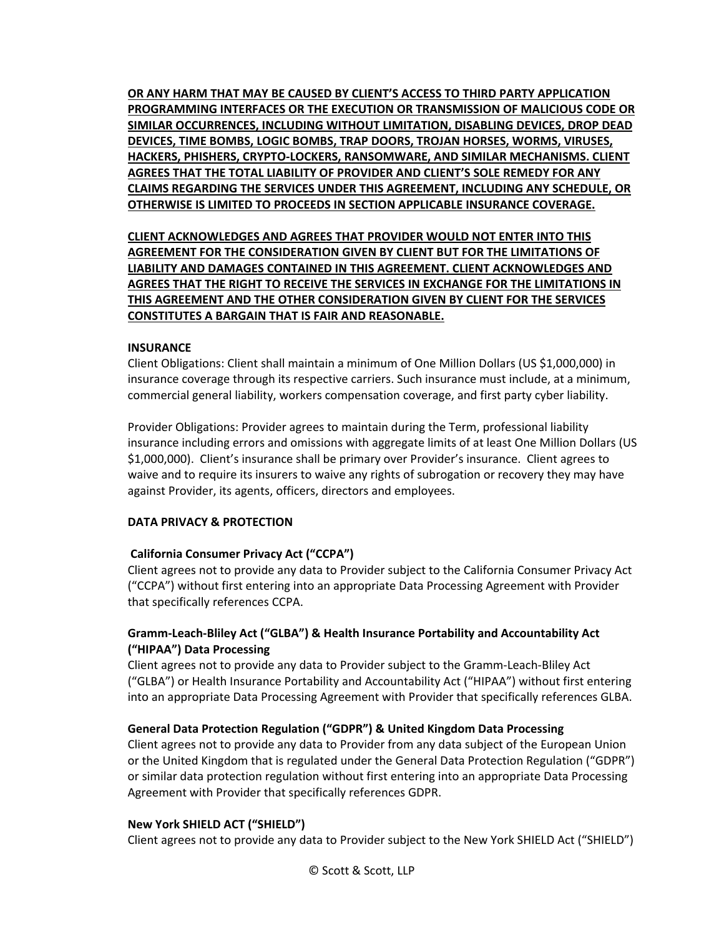**OR ANY HARM THAT MAY BE CAUSED BY CLIENT'S ACCESS TO THIRD PARTY APPLICATION PROGRAMMING INTERFACES OR THE EXECUTION OR TRANSMISSION OF MALICIOUS CODE OR SIMILAR OCCURRENCES, INCLUDING WITHOUT LIMITATION, DISABLING DEVICES, DROP DEAD DEVICES, TIME BOMBS, LOGIC BOMBS, TRAP DOORS, TROJAN HORSES, WORMS, VIRUSES, HACKERS, PHISHERS, CRYPTO-LOCKERS, RANSOMWARE, AND SIMILAR MECHANISMS. CLIENT AGREES THAT THE TOTAL LIABILITY OF PROVIDER AND CLIENT'S SOLE REMEDY FOR ANY CLAIMS REGARDING THE SERVICES UNDER THIS AGREEMENT, INCLUDING ANY SCHEDULE, OR OTHERWISE IS LIMITED TO PROCEEDS IN SECTION APPLICABLE INSURANCE COVERAGE.**

**CLIENT ACKNOWLEDGES AND AGREES THAT PROVIDER WOULD NOT ENTER INTO THIS AGREEMENT FOR THE CONSIDERATION GIVEN BY CLIENT BUT FOR THE LIMITATIONS OF LIABILITY AND DAMAGES CONTAINED IN THIS AGREEMENT. CLIENT ACKNOWLEDGES AND AGREES THAT THE RIGHT TO RECEIVE THE SERVICES IN EXCHANGE FOR THE LIMITATIONS IN THIS AGREEMENT AND THE OTHER CONSIDERATION GIVEN BY CLIENT FOR THE SERVICES CONSTITUTES A BARGAIN THAT IS FAIR AND REASONABLE.**

### **INSURANCE**

Client Obligations: Client shall maintain a minimum of One Million Dollars (US \$1,000,000) in insurance coverage through its respective carriers. Such insurance must include, at a minimum, commercial general liability, workers compensation coverage, and first party cyber liability.

Provider Obligations: Provider agrees to maintain during the Term, professional liability insurance including errors and omissions with aggregate limits of at least One Million Dollars (US \$1,000,000). Client's insurance shall be primary over Provider's insurance. Client agrees to waive and to require its insurers to waive any rights of subrogation or recovery they may have against Provider, its agents, officers, directors and employees.

### **DATA PRIVACY & PROTECTION**

### **California Consumer Privacy Act ("CCPA")**

Client agrees not to provide any data to Provider subject to the California Consumer Privacy Act ("CCPA") without first entering into an appropriate Data Processing Agreement with Provider that specifically references CCPA.

## **Gramm-Leach-Bliley Act ("GLBA") & Health Insurance Portability and Accountability Act ("HIPAA") Data Processing**

Client agrees not to provide any data to Provider subject to the Gramm-Leach-Bliley Act ("GLBA") or Health Insurance Portability and Accountability Act ("HIPAA") without first entering into an appropriate Data Processing Agreement with Provider that specifically references GLBA.

### **General Data Protection Regulation ("GDPR") & United Kingdom Data Processing**

Client agrees not to provide any data to Provider from any data subject of the European Union or the United Kingdom that is regulated under the General Data Protection Regulation ("GDPR") or similar data protection regulation without first entering into an appropriate Data Processing Agreement with Provider that specifically references GDPR.

#### **New York SHIELD ACT ("SHIELD")**

Client agrees not to provide any data to Provider subject to the New York SHIELD Act ("SHIELD")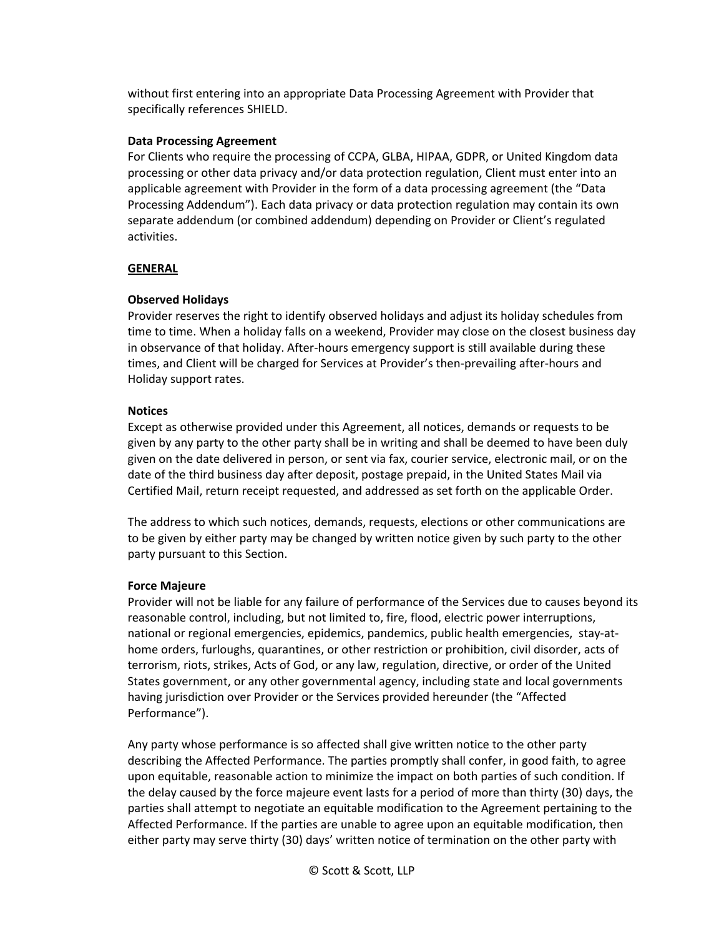without first entering into an appropriate Data Processing Agreement with Provider that specifically references SHIELD.

### **Data Processing Agreement**

For Clients who require the processing of CCPA, GLBA, HIPAA, GDPR, or United Kingdom data processing or other data privacy and/or data protection regulation, Client must enter into an applicable agreement with Provider in the form of a data processing agreement (the "Data Processing Addendum"). Each data privacy or data protection regulation may contain its own separate addendum (or combined addendum) depending on Provider or Client's regulated activities.

# **GENERAL**

# **Observed Holidays**

Provider reserves the right to identify observed holidays and adjust its holiday schedules from time to time. When a holiday falls on a weekend, Provider may close on the closest business day in observance of that holiday. After-hours emergency support is still available during these times, and Client will be charged for Services at Provider's then-prevailing after-hours and Holiday support rates.

# **Notices**

Except as otherwise provided under this Agreement, all notices, demands or requests to be given by any party to the other party shall be in writing and shall be deemed to have been duly given on the date delivered in person, or sent via fax, courier service, electronic mail, or on the date of the third business day after deposit, postage prepaid, in the United States Mail via Certified Mail, return receipt requested, and addressed as set forth on the applicable Order.

The address to which such notices, demands, requests, elections or other communications are to be given by either party may be changed by written notice given by such party to the other party pursuant to this Section.

# **Force Majeure**

Provider will not be liable for any failure of performance of the Services due to causes beyond its reasonable control, including, but not limited to, fire, flood, electric power interruptions, national or regional emergencies, epidemics, pandemics, public health emergencies, stay-athome orders, furloughs, quarantines, or other restriction or prohibition, civil disorder, acts of terrorism, riots, strikes, Acts of God, or any law, regulation, directive, or order of the United States government, or any other governmental agency, including state and local governments having jurisdiction over Provider or the Services provided hereunder (the "Affected Performance").

Any party whose performance is so affected shall give written notice to the other party describing the Affected Performance. The parties promptly shall confer, in good faith, to agree upon equitable, reasonable action to minimize the impact on both parties of such condition. If the delay caused by the force majeure event lasts for a period of more than thirty (30) days, the parties shall attempt to negotiate an equitable modification to the Agreement pertaining to the Affected Performance. If the parties are unable to agree upon an equitable modification, then either party may serve thirty (30) days' written notice of termination on the other party with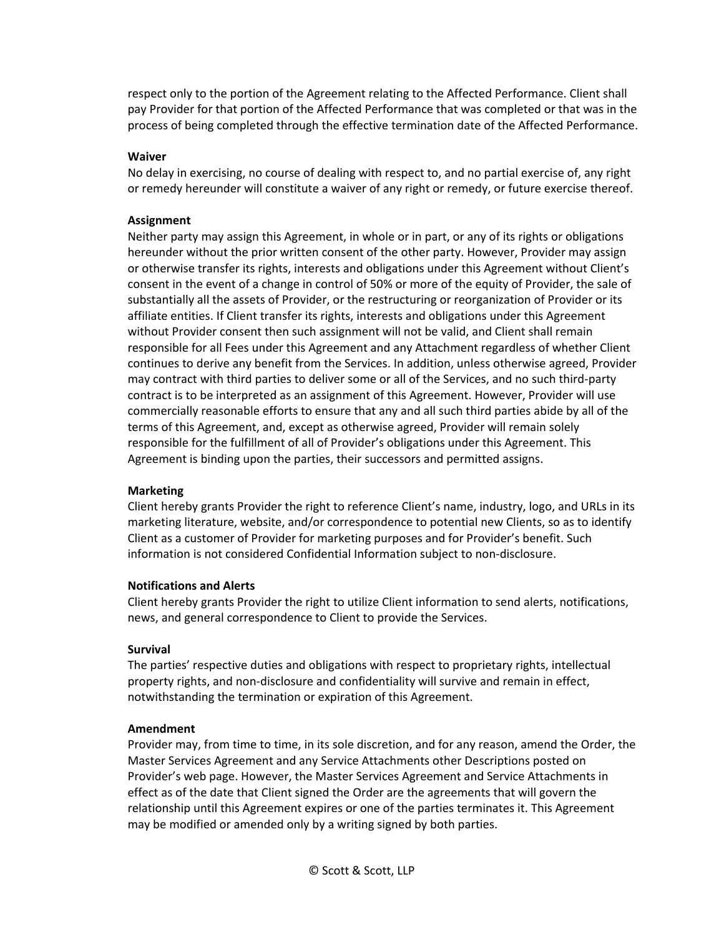respect only to the portion of the Agreement relating to the Affected Performance. Client shall pay Provider for that portion of the Affected Performance that was completed or that was in the process of being completed through the effective termination date of the Affected Performance.

#### **Waiver**

No delay in exercising, no course of dealing with respect to, and no partial exercise of, any right or remedy hereunder will constitute a waiver of any right or remedy, or future exercise thereof.

#### **Assignment**

Neither party may assign this Agreement, in whole or in part, or any of its rights or obligations hereunder without the prior written consent of the other party. However, Provider may assign or otherwise transfer its rights, interests and obligations under this Agreement without Client's consent in the event of a change in control of 50% or more of the equity of Provider, the sale of substantially all the assets of Provider, or the restructuring or reorganization of Provider or its affiliate entities. If Client transfer its rights, interests and obligations under this Agreement without Provider consent then such assignment will not be valid, and Client shall remain responsible for all Fees under this Agreement and any Attachment regardless of whether Client continues to derive any benefit from the Services. In addition, unless otherwise agreed, Provider may contract with third parties to deliver some or all of the Services, and no such third-party contract is to be interpreted as an assignment of this Agreement. However, Provider will use commercially reasonable efforts to ensure that any and all such third parties abide by all of the terms of this Agreement, and, except as otherwise agreed, Provider will remain solely responsible for the fulfillment of all of Provider's obligations under this Agreement. This Agreement is binding upon the parties, their successors and permitted assigns.

### **Marketing**

Client hereby grants Provider the right to reference Client's name, industry, logo, and URLs in its marketing literature, website, and/or correspondence to potential new Clients, so as to identify Client as a customer of Provider for marketing purposes and for Provider's benefit. Such information is not considered Confidential Information subject to non-disclosure.

### **Notifications and Alerts**

Client hereby grants Provider the right to utilize Client information to send alerts, notifications, news, and general correspondence to Client to provide the Services.

#### **Survival**

The parties' respective duties and obligations with respect to proprietary rights, intellectual property rights, and non-disclosure and confidentiality will survive and remain in effect, notwithstanding the termination or expiration of this Agreement.

#### **Amendment**

Provider may, from time to time, in its sole discretion, and for any reason, amend the Order, the Master Services Agreement and any Service Attachments other Descriptions posted on Provider's web page. However, the Master Services Agreement and Service Attachments in effect as of the date that Client signed the Order are the agreements that will govern the relationship until this Agreement expires or one of the parties terminates it. This Agreement may be modified or amended only by a writing signed by both parties.